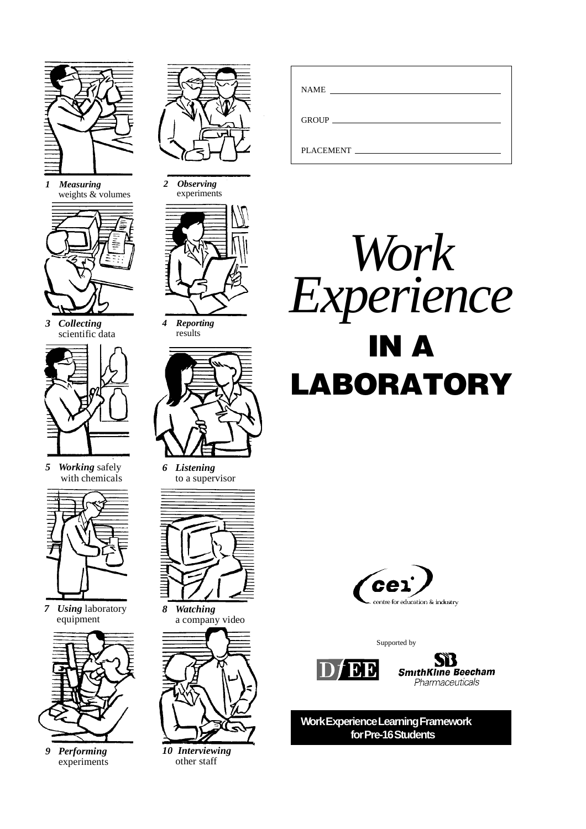

*1 Measuring* weights & volumes



*3 Collecting* scientific data



*5 Working* safely with chemicals



*7 Using* laboratory equipment



*9 Performing* experiments



*2 Observing* experiments



*4 Reporting* results



*6 Listening* to a supervisor



*8 Watching* a company video



*10 Interviewing* other staff

| <b>NAME</b>                                                                                                     |
|-----------------------------------------------------------------------------------------------------------------|
|                                                                                                                 |
| PLACEMENT FOR THE STATE OF THE STATE OF THE STATE OF THE STATE OF THE STATE OF THE STATE OF THE STATE OF THE ST |





Supported by





**Work Experience Learning Framework for Pre-16 Students**